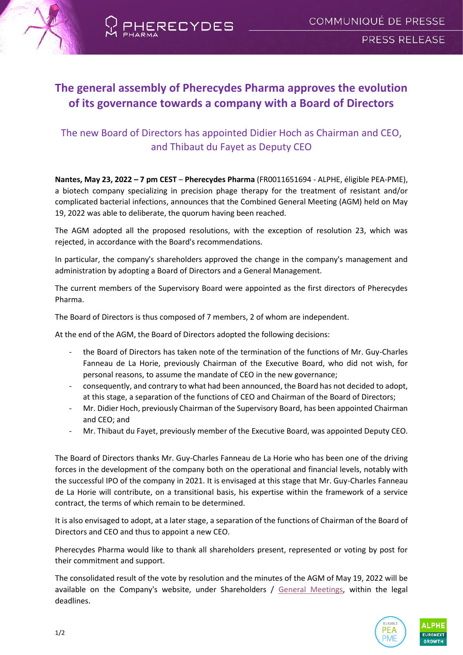



# **The general assembly of Pherecydes Pharma approves the evolution of its governance towards a company with a Board of Directors**

## The new Board of Directors has appointed Didier Hoch as Chairman and CEO, and Thibaut du Fayet as Deputy CEO

**Nantes, May 23, 2022 – 7 pm CEST** – **Pherecydes Pharma** (FR0011651694 - ALPHE, éligible PEA-PME), a biotech company specializing in precision phage therapy for the treatment of resistant and/or complicated bacterial infections, announces that the Combined General Meeting (AGM) held on May 19, 2022 was able to deliberate, the quorum having been reached.

The AGM adopted all the proposed resolutions, with the exception of resolution 23, which was rejected, in accordance with the Board's recommendations.

In particular, the company's shareholders approved the change in the company's management and administration by adopting a Board of Directors and a General Management.

The current members of the Supervisory Board were appointed as the first directors of Pherecydes Pharma.

The Board of Directors is thus composed of 7 members, 2 of whom are independent.

At the end of the AGM, the Board of Directors adopted the following decisions:

- the Board of Directors has taken note of the termination of the functions of Mr. Guy-Charles Fanneau de La Horie, previously Chairman of the Executive Board, who did not wish, for personal reasons, to assume the mandate of CEO in the new governance;
- consequently, and contrary to what had been announced, the Board has not decided to adopt, at this stage, a separation of the functions of CEO and Chairman of the Board of Directors;
- Mr. Didier Hoch, previously Chairman of the Supervisory Board, has been appointed Chairman and CEO; and
- Mr. Thibaut du Fayet, previously member of the Executive Board, was appointed Deputy CEO.

The Board of Directors thanks Mr. Guy-Charles Fanneau de La Horie who has been one of the driving forces in the development of the company both on the operational and financial levels, notably with the successful IPO of the company in 2021. It is envisaged at this stage that Mr. Guy-Charles Fanneau de La Horie will contribute, on a transitional basis, his expertise within the framework of a service contract, the terms of which remain to be determined.

It is also envisaged to adopt, at a later stage, a separation of the functions of Chairman of the Board of Directors and CEO and thus to appoint a new CEO.

Pherecydes Pharma would like to thank all shareholders present, represented or voting by post for their commitment and support.

The consolidated result of the vote by resolution and the minutes of the AGM of May 19, 2022 will be available on the Company's website, under Shareholders / [General Meetings,](https://www.pherecydes-finance.com/index.php/en/shareholders/general-meeting) within the legal deadlines.